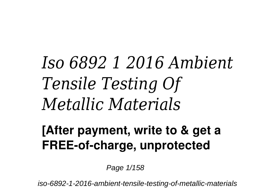## *Iso 6892 1 2016 Ambient Tensile Testing Of Metallic Materials*

## **[After payment, write to & get a FREE-of-charge, unprotected**

Page  $1/158$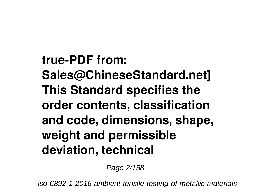**true-PDF from: Sales@ChineseStandard.net] This Standard specifies the order contents, classification and code, dimensions, shape, weight and permissible deviation, technical**

Page 2/158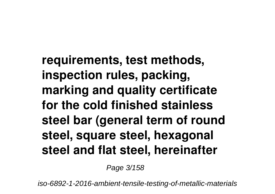**requirements, test methods, inspection rules, packing, marking and quality certificate for the cold finished stainless steel bar (general term of round steel, square steel, hexagonal steel and flat steel, hereinafter**

Page 3/158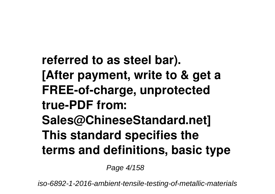**referred to as steel bar). [After payment, write to & get a FREE-of-charge, unprotected true-PDF from: Sales@ChineseStandard.net] This standard specifies the terms and definitions, basic type**

Page 4/158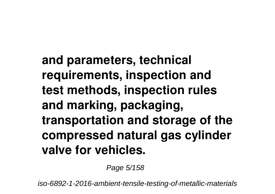**and parameters, technical requirements, inspection and test methods, inspection rules and marking, packaging, transportation and storage of the compressed natural gas cylinder valve for vehicles.**

Page 5/158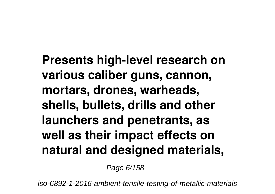**Presents high-level research on various caliber guns, cannon, mortars, drones, warheads, shells, bullets, drills and other launchers and penetrants, as well as their impact effects on natural and designed materials,**

Page 6/158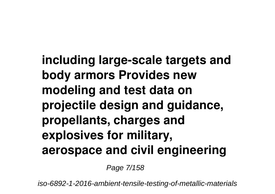**including large-scale targets and body armors Provides new modeling and test data on projectile design and guidance, propellants, charges and explosives for military, aerospace and civil engineering**

Page 7/158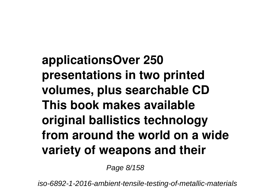**applicationsOver 250 presentations in two printed volumes, plus searchable CD This book makes available original ballistics technology from around the world on a wide variety of weapons and their**

Page 8/158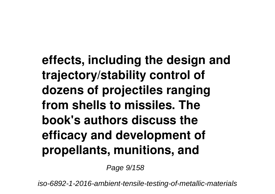**effects, including the design and trajectory/stability control of dozens of projectiles ranging from shells to missiles. The book's authors discuss the efficacy and development of propellants, munitions, and**

Page 9/158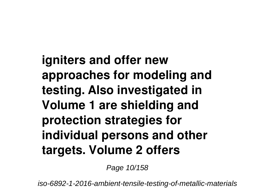**igniters and offer new approaches for modeling and testing. Also investigated in Volume 1 are shielding and protection strategies for individual persons and other targets. Volume 2 offers**

Page 10/158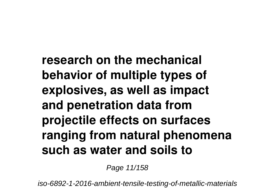**research on the mechanical behavior of multiple types of explosives, as well as impact and penetration data from projectile effects on surfaces ranging from natural phenomena such as water and soils to**

Page 11/158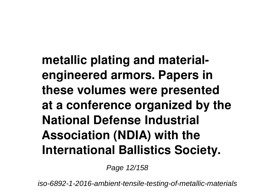**metallic plating and materialengineered armors. Papers in these volumes were presented at a conference organized by the National Defense Industrial Association (NDIA) with the International Ballistics Society.**

Page 12/158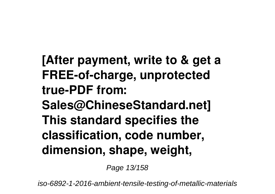**[After payment, write to & get a FREE-of-charge, unprotected true-PDF from: Sales@ChineseStandard.net] This standard specifies the classification, code number, dimension, shape, weight,**

Page 13/158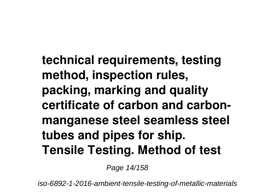**technical requirements, testing method, inspection rules, packing, marking and quality certificate of carbon and carbonmanganese steel seamless steel tubes and pipes for ship. Tensile Testing. Method of test**

Page 14/158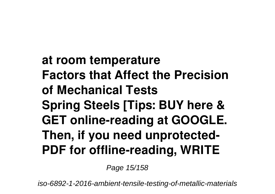**at room temperature Factors that Affect the Precision of Mechanical Tests Spring Steels [Tips: BUY here & GET online-reading at GOOGLE. Then, if you need unprotected-PDF for offline-reading, WRITE**

Page 15/158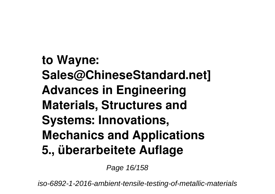**to Wayne: Sales@ChineseStandard.net] Advances in Engineering Materials, Structures and Systems: Innovations, Mechanics and Applications 5., überarbeitete Auflage**

Page 16/158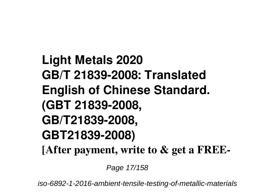**Light Metals 2020 GB/T 21839-2008: Translated English of Chinese Standard. (GBT 21839-2008, GB/T21839-2008, GBT21839-2008) [After payment, write to & get a FREE-**

Page 17/158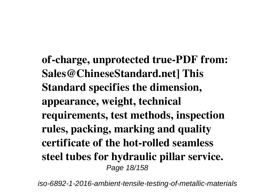**of-charge, unprotected true-PDF from: Sales@ChineseStandard.net] This Standard specifies the dimension, appearance, weight, technical requirements, test methods, inspection rules, packing, marking and quality certificate of the hot-rolled seamless steel tubes for hydraulic pillar service.** Page 18/158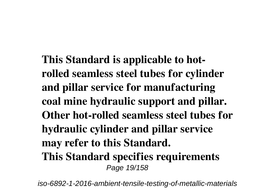**This Standard is applicable to hotrolled seamless steel tubes for cylinder and pillar service for manufacturing coal mine hydraulic support and pillar. Other hot-rolled seamless steel tubes for hydraulic cylinder and pillar service may refer to this Standard. This Standard specifies requirements** Page 19/158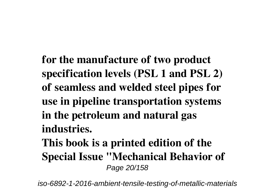**for the manufacture of two product specification levels (PSL 1 and PSL 2) of seamless and welded steel pipes for use in pipeline transportation systems in the petroleum and natural gas industries.**

**This book is a printed edition of the Special Issue "Mechanical Behavior of** Page 20/158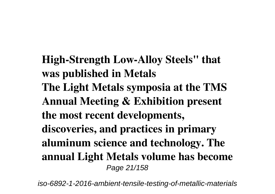**High-Strength Low-Alloy Steels" that was published in Metals The Light Metals symposia at the TMS Annual Meeting & Exhibition present the most recent developments, discoveries, and practices in primary aluminum science and technology. The annual Light Metals volume has become** Page 21/158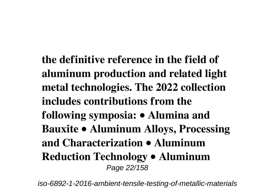**the definitive reference in the field of aluminum production and related light metal technologies. The 2022 collection includes contributions from the following symposia: • Alumina and Bauxite • Aluminum Alloys, Processing and Characterization • Aluminum Reduction Technology • Aluminum** Page 22/158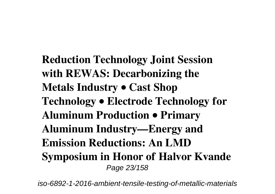**Reduction Technology Joint Session with REWAS: Decarbonizing the Metals Industry • Cast Shop Technology • Electrode Technology for Aluminum Production • Primary Aluminum Industry—Energy and Emission Reductions: An LMD Symposium in Honor of Halvor Kvande** Page 23/158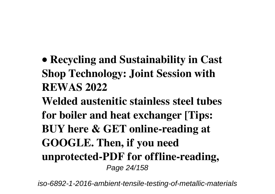- **Recycling and Sustainability in Cast Shop Technology: Joint Session with REWAS 2022**
- **Welded austenitic stainless steel tubes for boiler and heat exchanger [Tips: BUY here & GET online-reading at GOOGLE. Then, if you need unprotected-PDF for offline-reading,** Page 24/158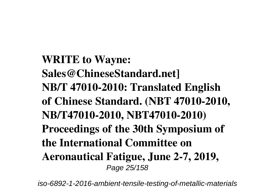**WRITE to Wayne: Sales@ChineseStandard.net] NB/T 47010-2010: Translated English of Chinese Standard. (NBT 47010-2010, NB/T47010-2010, NBT47010-2010) Proceedings of the 30th Symposium of the International Committee on Aeronautical Fatigue, June 2-7, 2019,** Page 25/158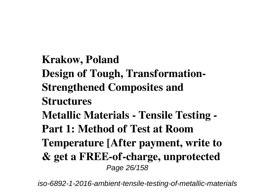**Krakow, Poland Design of Tough, Transformation-Strengthened Composites and Structures Metallic Materials - Tensile Testing - Part 1: Method of Test at Room Temperature [After payment, write to & get a FREE-of-charge, unprotected** Page 26/158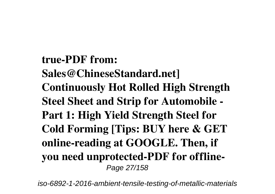**true-PDF from: Sales@ChineseStandard.net] Continuously Hot Rolled High Strength Steel Sheet and Strip for Automobile - Part 1: High Yield Strength Steel for Cold Forming [Tips: BUY here & GET online-reading at GOOGLE. Then, if you need unprotected-PDF for offline-**Page 27/158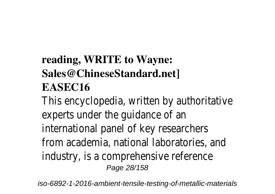## **reading, WRITE to Wayne: Sales@ChineseStandard.net] EASEC16**

This encyclopedia, written by authoritative experts under the guidance of an international panel of key researchers from academia, national laboratories, and industry, is a comprehensive reference Page 28/158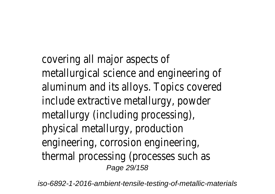covering all major aspects of metallurgical science and engineering of aluminum and its alloys. Topics covered include extractive metallurgy, powder metallurgy (including processing), physical metallurgy, production engineering, corrosion engineering, thermal processing (processes such as Page 29/158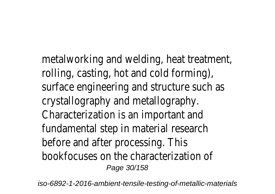metalworking and welding, heat treatment, rolling, casting, hot and cold forming), surface engineering and structure such as crystallography and metallography. Characterization is an important and fundamental step in material research before and after processing. This bookfocuses on the characterization of Page 30/158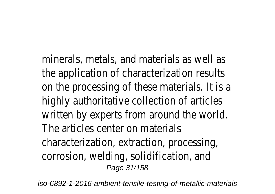minerals, metals, and materials as well as the application of characterization results on the processing of these materials. It is a highly authoritative collection of articles written by experts from around the world. The articles center on materials characterization, extraction, processing, corrosion, welding, solidification, and Page 31/158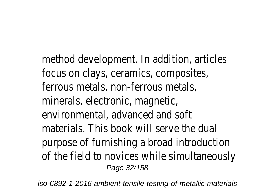method development. In addition, articles focus on clays, ceramics, composites, ferrous metals, non-ferrous metals, minerals, electronic, magnetic, environmental, advanced and soft materials. This book will serve the dual purpose of furnishing a broad introduction of the field to novices while simultaneously Page 32/158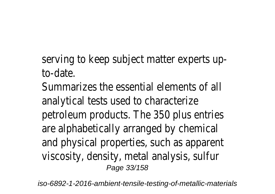## serving to keep subject matter experts upto-date.

Summarizes the essential elements of all analytical tests used to characterize petroleum products. The 350 plus entries are alphabetically arranged by chemical and physical properties, such as apparent viscosity, density, metal analysis, sulfur Page 33/158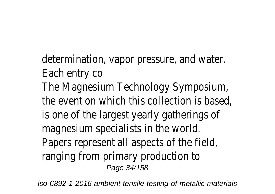determination, vapor pressure, and water. Each entry co The Magnesium Technology Symposium, the event on which this collection is based, is one of the largest yearly gatherings of magnesium specialists in the world. Papers represent all aspects of the field, ranging from primary production to Page 34/158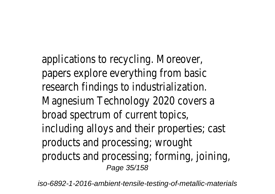applications to recycling. Moreover, papers explore everything from basic research findings to industrialization. Magnesium Technology 2020 covers a broad spectrum of current topics, including alloys and their properties; cast products and processing; wrought products and processing; forming, joining, Page 35/158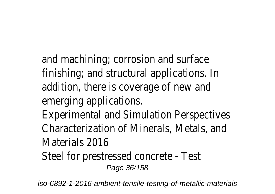and machining; corrosion and surface finishing; and structural applications. In addition, there is coverage of new and emerging applications.

Experimental and Simulation Perspectives Characterization of Minerals, Metals, and Materials 2016

Steel for prestressed concrete - Test Page 36/158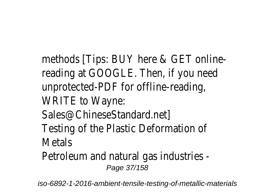methods [Tips: BUY here & GET onlinereading at GOOGLE. Then, if you need unprotected-PDF for offline-reading, WRITE to Wayne: Sales@ChineseStandard.net] Testing of the Plastic Deformation of Metals Petroleum and natural gas industries -

Page 37/158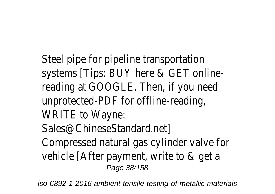Steel pipe for pipeline transportation systems [Tips: BUY here & GET onlinereading at GOOGLE. Then, if you need unprotected-PDF for offline-reading, WRITE to Wayne: Sales@ChineseStandard.net] Compressed natural gas cylinder valve for vehicle [After payment, write to & get a Page 38/158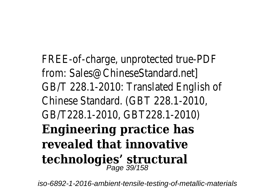FREE-of-charge, unprotected true-PDF from: Sales@ChineseStandard.net] GB/T 228.1-2010: Translated English of Chinese Standard. (GBT 228.1-2010, GB/T228.1-2010, GBT228.1-2010) **Engineering practice has revealed that innovative technologies' structural** Page 39/158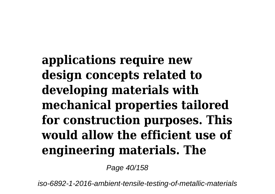**applications require new design concepts related to developing materials with mechanical properties tailored for construction purposes. This would allow the efficient use of engineering materials. The**

Page 40/158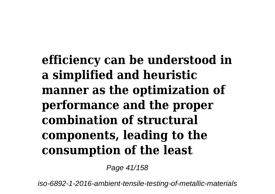**efficiency can be understood in a simplified and heuristic manner as the optimization of performance and the proper combination of structural components, leading to the consumption of the least**

Page 41/158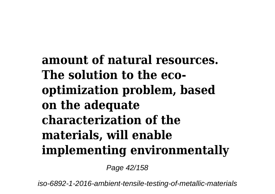**amount of natural resources. The solution to the ecooptimization problem, based on the adequate characterization of the materials, will enable implementing environmentally**

Page 42/158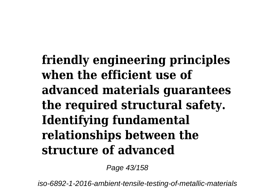**friendly engineering principles when the efficient use of advanced materials guarantees the required structural safety. Identifying fundamental relationships between the structure of advanced**

Page 43/158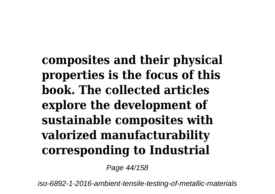**composites and their physical properties is the focus of this book. The collected articles explore the development of sustainable composites with valorized manufacturability corresponding to Industrial**

Page 44/158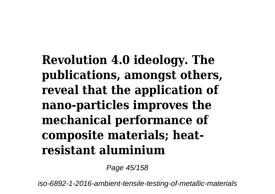**Revolution 4.0 ideology. The publications, amongst others, reveal that the application of nano-particles improves the mechanical performance of composite materials; heatresistant aluminium**

Page 45/158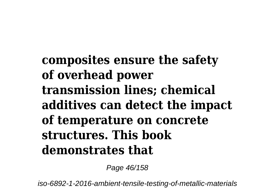**composites ensure the safety of overhead power transmission lines; chemical additives can detect the impact of temperature on concrete structures. This book demonstrates that**

Page 46/158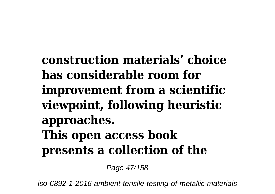**construction materials' choice has considerable room for improvement from a scientific viewpoint, following heuristic approaches. This open access book presents a collection of the**

Page 47/158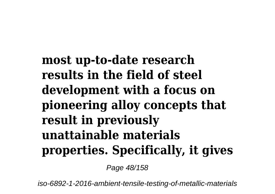**most up-to-date research results in the field of steel development with a focus on pioneering alloy concepts that result in previously unattainable materials properties. Specifically, it gives**

Page 48/158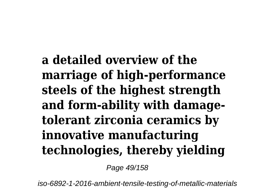**a detailed overview of the marriage of high-performance steels of the highest strength and form-ability with damagetolerant zirconia ceramics by innovative manufacturing technologies, thereby yielding**

Page 49/158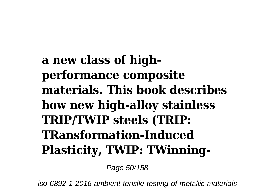**a new class of highperformance composite materials. This book describes how new high-alloy stainless TRIP/TWIP steels (TRIP: TRansformation-Induced Plasticity, TWIP: TWinning-**

Page 50/158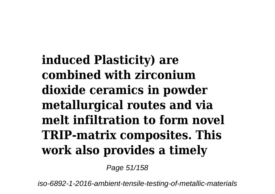**induced Plasticity) are combined with zirconium dioxide ceramics in powder metallurgical routes and via melt infiltration to form novel TRIP-matrix composites. This work also provides a timely**

Page 51/158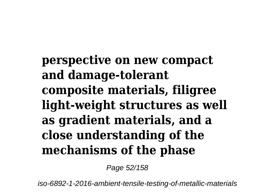**perspective on new compact and damage-tolerant composite materials, filigree light-weight structures as well as gradient materials, and a close understanding of the mechanisms of the phase**

Page 52/158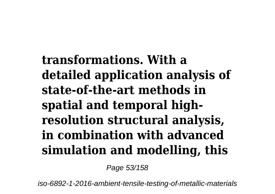**transformations. With a detailed application analysis of state-of-the-art methods in spatial and temporal highresolution structural analysis, in combination with advanced simulation and modelling, this**

Page 53/158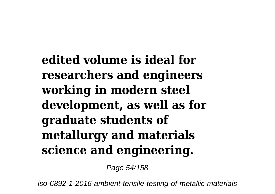**edited volume is ideal for researchers and engineers working in modern steel development, as well as for graduate students of metallurgy and materials science and engineering.**

Page 54/158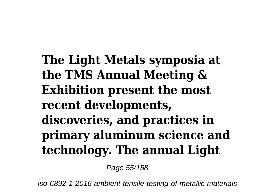**The Light Metals symposia at the TMS Annual Meeting & Exhibition present the most recent developments, discoveries, and practices in primary aluminum science and technology. The annual Light**

Page 55/158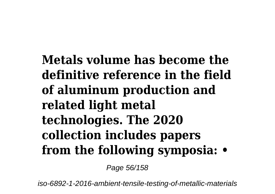**Metals volume has become the definitive reference in the field of aluminum production and related light metal technologies. The 2020 collection includes papers from the following symposia: •**

Page 56/158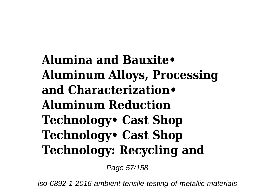**Alumina and Bauxite• Aluminum Alloys, Processing and Characterization• Aluminum Reduction Technology• Cast Shop Technology• Cast Shop Technology: Recycling and**

Page 57/158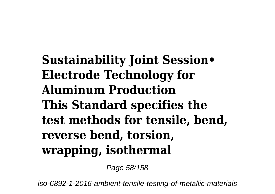**Sustainability Joint Session• Electrode Technology for Aluminum Production This Standard specifies the test methods for tensile, bend, reverse bend, torsion, wrapping, isothermal**

Page 58/158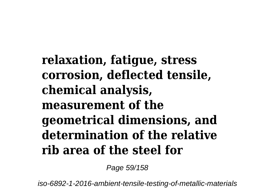**relaxation, fatigue, stress corrosion, deflected tensile, chemical analysis, measurement of the geometrical dimensions, and determination of the relative rib area of the steel for**

Page 59/158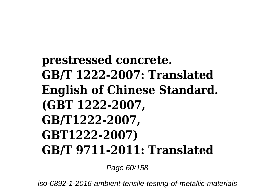## **prestressed concrete. GB/T 1222-2007: Translated English of Chinese Standard. (GBT 1222-2007, GB/T1222-2007, GBT1222-2007) GB/T 9711-2011: Translated**

Page 60/158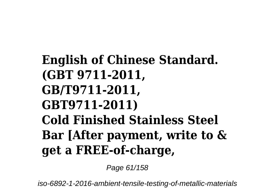## **English of Chinese Standard. (GBT 9711-2011, GB/T9711-2011, GBT9711-2011) Cold Finished Stainless Steel Bar [After payment, write to & get a FREE-of-charge,**

Page 61/158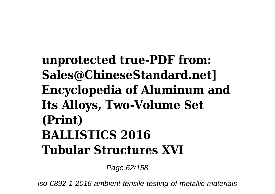## **unprotected true-PDF from: Sales@ChineseStandard.net] Encyclopedia of Aluminum and Its Alloys, Two-Volume Set (Print) BALLISTICS 2016 Tubular Structures XVI**

Page 62/158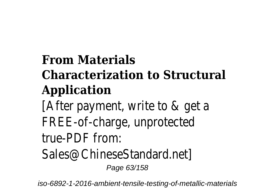## **From Materials Characterization to Structural Application**

[After payment, write to & get a FREE-of-charge, unprotected true-PDF from:

Sales@ChineseStandard.net]

Page 63/158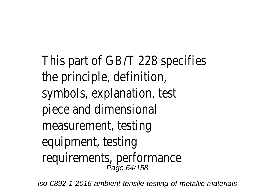This part of GB/T 228 specifies the principle, definition, symbols, explanation, test piece and dimensional measurement, testing equipment, testing requirements, performance Page 64/158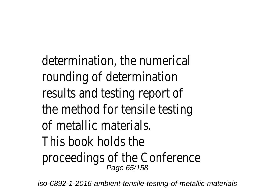determination, the numerical rounding of determination results and testing report of the method for tensile testing of metallic materials. This book holds the proceedings of the Conference Page 65/158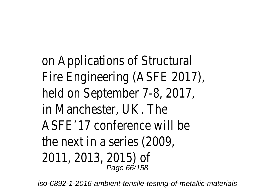on Applications of Structural Fire Engineering (ASFE 2017), held on September 7-8, 2017, in Manchester, UK. The ASFE'17 conference will be the next in a series (2009, 2011, 2013, 2015) of Page 66/158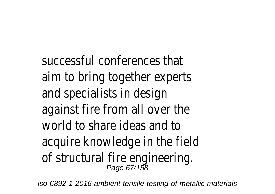successful conferences that aim to bring together experts and specialists in design against fire from all over the world to share ideas and to acquire knowledge in the field of structural fire engineering. Page 67/158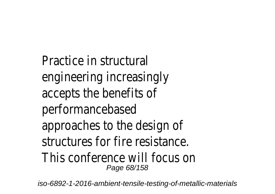Practice in structural engineering increasingly accepts the benefits of performancebased approaches to the design of structures for fire resistance. This conference will focus on Page 68/158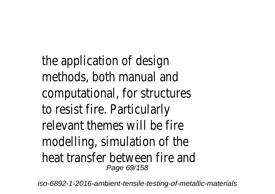the application of design methods, both manual and computational, for structures to resist fire. Particularly relevant themes will be fire modelling, simulation of the heat transfer between fire and Page 69/158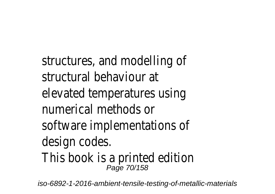structures, and modelling of structural behaviour at elevated temperatures using numerical methods or software implementations of design codes. This book is a printed edition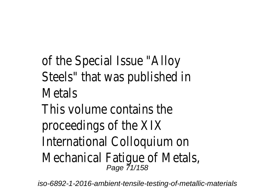of the Special Issue "Alloy Steels" that was published in Metals This volume contains the proceedings of the XIX International Colloquium on Mechanical Fatigue of Metals,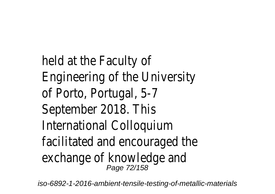held at the Faculty of Engineering of the University of Porto, Portugal, 5-7 September 2018. This International Colloquium facilitated and encouraged the exchange of knowledge and Page 72/158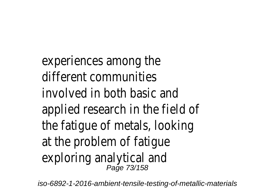experiences among the different communities involved in both basic and applied research in the field of the fatigue of metals, looking at the problem of fatigue exploring analytical and<br>
<sub>Page 73/158</sub>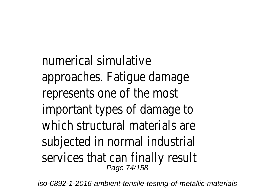numerical simulative approaches. Fatigue damage represents one of the most important types of damage to which structural materials are subjected in normal industrial services that can finally result Page 74/158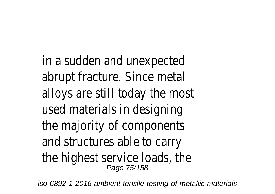in a sudden and unexpected abrupt fracture. Since metal alloys are still today the most used materials in designing the majority of components and structures able to carry the highest service loads, the Page 75/158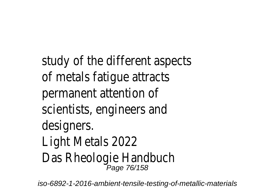study of the different aspects of metals fatigue attracts permanent attention of scientists, engineers and designers. Light Metals 2022 Das Rheologie Handbuch<br>
Page 76/158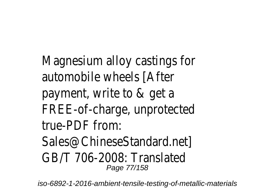Magnesium alloy castings for automobile wheels [After payment, write to & get a FREE-of-charge, unprotected true-PDF from: Sales@ChineseStandard.net] GB/T 706-2008: Translated Page 77/158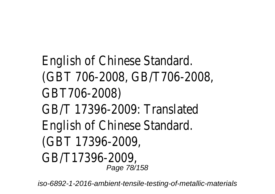English of Chinese Standard. (GBT 706-2008, GB/T706-2008, GBT706-2008) GB/T 17396-2009: Translated English of Chinese Standard. (GBT 17396-2009, GB/T17396-2009, Page 78/158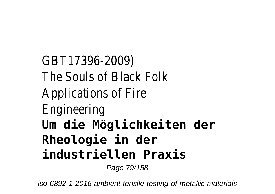GBT17396-2009) The Souls of Black Folk Applications of Fire Engineering **Um die Möglichkeiten der Rheologie in der industriellen Praxis**

Page 79/158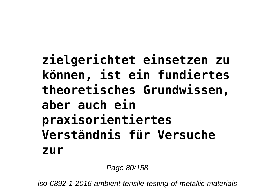**zielgerichtet einsetzen zu können, ist ein fundiertes theoretisches Grundwissen, aber auch ein praxisorientiertes Verständnis für Versuche zur**

Page 80/158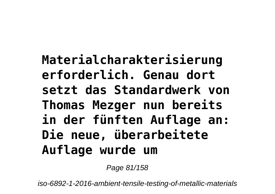**Materialcharakterisierung erforderlich. Genau dort setzt das Standardwerk von Thomas Mezger nun bereits in der fünften Auflage an: Die neue, überarbeitete Auflage wurde um**

Page 81/158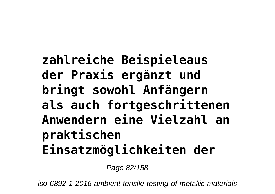# **zahlreiche Beispieleaus der Praxis ergänzt und bringt sowohl Anfängern als auch fortgeschrittenen Anwendern eine Vielzahl an praktischen Einsatzmöglichkeiten der**

Page 82/158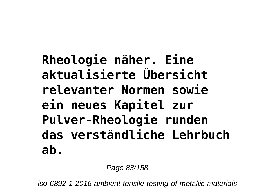# **Rheologie näher. Eine aktualisierte Übersicht relevanter Normen sowie ein neues Kapitel zur Pulver-Rheologie runden das verständliche Lehrbuch ab.**

Page 83/158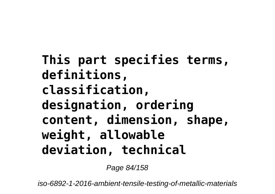**This part specifies terms, definitions, classification, designation, ordering content, dimension, shape, weight, allowable deviation, technical**

Page 84/158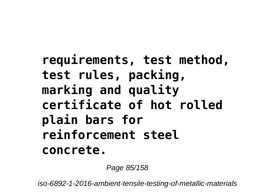# **requirements, test method, test rules, packing, marking and quality certificate of hot rolled plain bars for reinforcement steel concrete.**

Page 85/158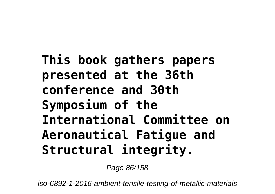# **This book gathers papers presented at the 36th conference and 30th Symposium of the International Committee on Aeronautical Fatigue and Structural integrity.**

Page 86/158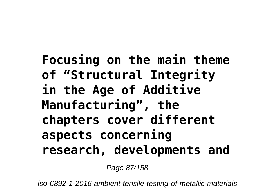# **Focusing on the main theme of "Structural Integrity in the Age of Additive Manufacturing", the chapters cover different aspects concerning research, developments and**

Page 87/158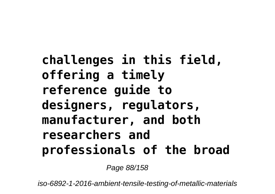# **challenges in this field, offering a timely reference guide to designers, regulators, manufacturer, and both researchers and professionals of the broad**

Page 88/158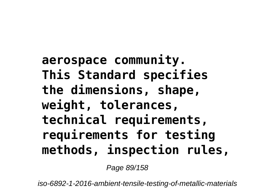# **aerospace community. This Standard specifies the dimensions, shape, weight, tolerances, technical requirements, requirements for testing methods, inspection rules,**

Page 89/158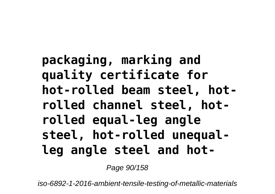# **packaging, marking and quality certificate for hot-rolled beam steel, hotrolled channel steel, hotrolled equal-leg angle steel, hot-rolled unequalleg angle steel and hot-**

Page 90/158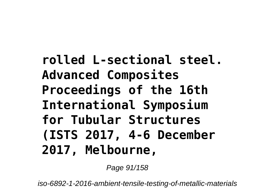**rolled L-sectional steel. Advanced Composites Proceedings of the 16th International Symposium for Tubular Structures (ISTS 2017, 4-6 December 2017, Melbourne,**

Page 91/158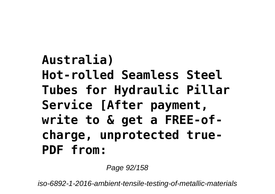# **Australia) Hot-rolled Seamless Steel Tubes for Hydraulic Pillar Service [After payment, write to & get a FREE-ofcharge, unprotected true-PDF from:**

Page 92/158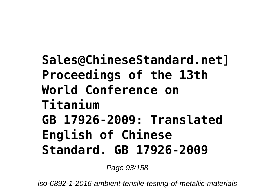## **Sales@ChineseStandard.net] Proceedings of the 13th World Conference on Titanium GB 17926-2009: Translated English of Chinese Standard. GB 17926-2009**

Page 93/158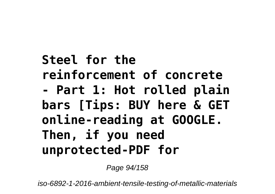# **Steel for the reinforcement of concrete - Part 1: Hot rolled plain bars [Tips: BUY here & GET online-reading at GOOGLE. Then, if you need unprotected-PDF for**

Page 94/158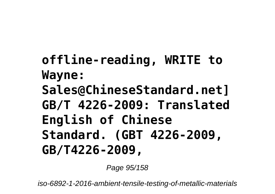# **offline-reading, WRITE to Wayne: Sales@ChineseStandard.net] GB/T 4226-2009: Translated English of Chinese Standard. (GBT 4226-2009, GB/T4226-2009,**

Page 95/158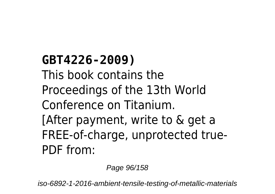**GBT4226-2009)** This book contains the Proceedings of the 13th World Conference on Titanium. [After payment, write to & get a FREE-of-charge, unprotected true-PDF from:

Page 96/158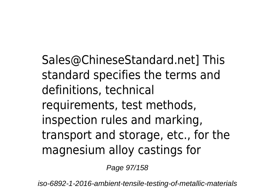Sales@ChineseStandard.net] This standard specifies the terms and definitions, technical requirements, test methods, inspection rules and marking, transport and storage, etc., for the magnesium alloy castings for

Page 97/158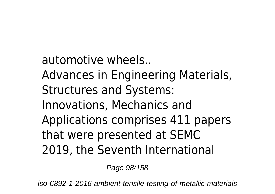automotive wheels.. Advances in Engineering Materials, Structures and Systems: Innovations, Mechanics and Applications comprises 411 papers that were presented at SEMC 2019, the Seventh International

Page 98/158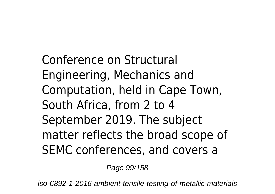Conference on Structural Engineering, Mechanics and Computation, held in Cape Town, South Africa, from 2 to 4 September 2019. The subject matter reflects the broad scope of SEMC conferences, and covers a

Page 99/158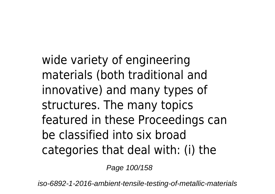wide variety of engineering materials (both traditional and innovative) and many types of structures. The many topics featured in these Proceedings can be classified into six broad categories that deal with: (i) the

Page 100/158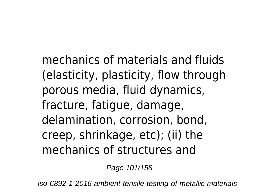mechanics of materials and fluids (elasticity, plasticity, flow through porous media, fluid dynamics, fracture, fatigue, damage, delamination, corrosion, bond, creep, shrinkage, etc); (ii) the mechanics of structures and

Page 101/158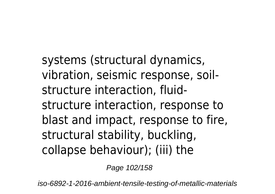systems (structural dynamics, vibration, seismic response, soilstructure interaction, fluidstructure interaction, response to blast and impact, response to fire, structural stability, buckling, collapse behaviour); (iii) the

Page 102/158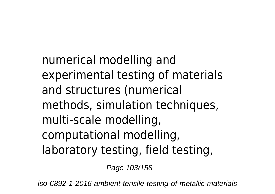numerical modelling and experimental testing of materials and structures (numerical methods, simulation techniques, multi-scale modelling, computational modelling, laboratory testing, field testing,

Page 103/158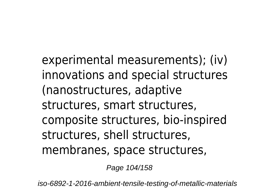experimental measurements); (iv) innovations and special structures (nanostructures, adaptive structures, smart structures, composite structures, bio-inspired structures, shell structures, membranes, space structures,

Page 104/158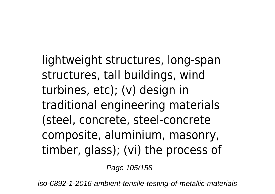lightweight structures, long-span structures, tall buildings, wind turbines, etc); (v) design in traditional engineering materials (steel, concrete, steel-concrete composite, aluminium, masonry, timber, glass); (vi) the process of

Page 105/158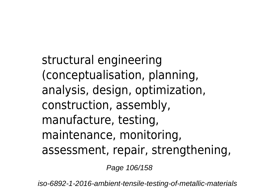structural engineering (conceptualisation, planning, analysis, design, optimization, construction, assembly, manufacture, testing, maintenance, monitoring, assessment, repair, strengthening,

Page 106/158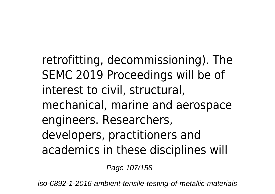retrofitting, decommissioning). The SEMC 2019 Proceedings will be of interest to civil, structural, mechanical, marine and aerospace engineers. Researchers, developers, practitioners and academics in these disciplines will

Page 107/158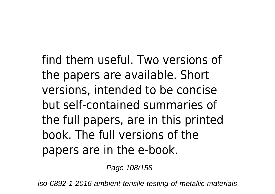find them useful. Two versions of the papers are available. Short versions, intended to be concise but self-contained summaries of the full papers, are in this printed book. The full versions of the papers are in the e-book.

Page 108/158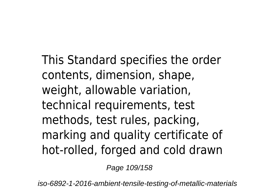This Standard specifies the order contents, dimension, shape, weight, allowable variation, technical requirements, test methods, test rules, packing, marking and quality certificate of hot-rolled, forged and cold drawn

Page 109/158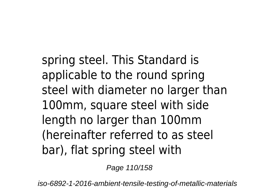spring steel. This Standard is applicable to the round spring steel with diameter no larger than 100mm, square steel with side length no larger than 100mm (hereinafter referred to as steel bar), flat spring steel with

Page 110/158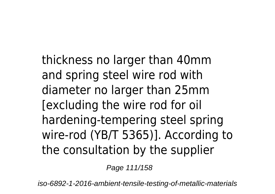thickness no larger than 40mm and spring steel wire rod with diameter no larger than 25mm [excluding the wire rod for oil hardening-tempering steel spring wire-rod (YB/T 5365)]. According to the consultation by the supplier

Page 111/158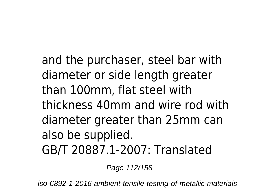and the purchaser, steel bar with diameter or side length greater than 100mm, flat steel with thickness 40mm and wire rod with diameter greater than 25mm can also be supplied. GB/T 20887.1-2007: Translated

Page 112/158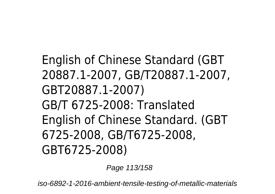English of Chinese Standard (GBT 20887.1-2007, GB/T20887.1-2007, GBT20887.1-2007) GB/T 6725-2008: Translated English of Chinese Standard. (GBT 6725-2008, GB/T6725-2008, GBT6725-2008)

Page 113/158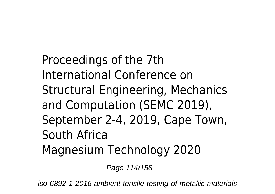Proceedings of the 7th International Conference on Structural Engineering, Mechanics and Computation (SEMC 2019), September 2-4, 2019, Cape Town, South Africa Magnesium Technology 2020

Page 114/158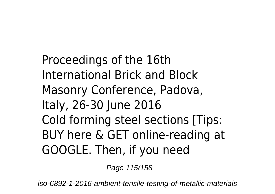Proceedings of the 16th International Brick and Block Masonry Conference, Padova, Italy, 26-30 June 2016 Cold forming steel sections [Tips: BUY here & GET online-reading at GOOGLE. Then, if you need

Page 115/158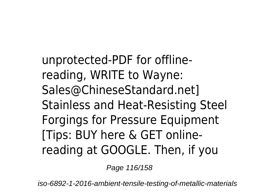unprotected-PDF for offlinereading, WRITE to Wayne: Sales@ChineseStandard.net] Stainless and Heat-Resisting Steel Forgings for Pressure Equipment [Tips: BUY here & GET onlinereading at GOOGLE. Then, if you

Page 116/158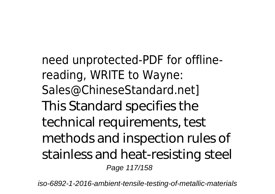need unprotected-PDF for offlinereading, WRITE to Wayne: Sales@ChineseStandard.net] This Standard specifies the technical requirements, test methods and inspection rules of stainless and heat-resisting steel Page 117/158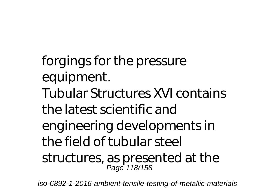forgings for the pressure equipment. Tubular Structures XVI contains the latest scientific and engineering developments in the field of tubular steel structures, as presented at the Page 118/158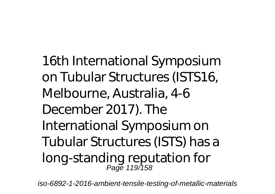16th International Symposium on Tubular Structures (ISTS16, Melbourne, Australia, 4-6 December 2017). The International Symposium on Tubular Structures (ISTS) has a long-standing reputation for Page 119/158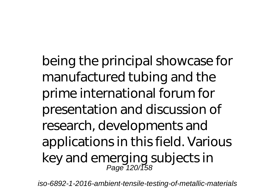being the principal showcase for manufactured tubing and the prime international forum for presentation and discussion of research, developments and applications in this field. Various key and emerging subjects in Page 120/158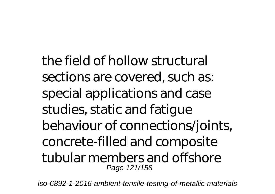the field of hollow structural sections are covered, such as: special applications and case studies, static and fatigue behaviour of connections/joints, concrete-filled and composite tubular members and offshore Page 121/158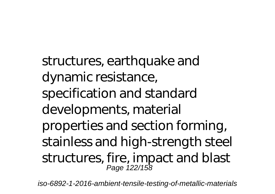structures, earthquake and dynamic resistance, specification and standard developments, material properties and section forming, stainless and high-strength steel structures, fire, impact and blast Page 122/158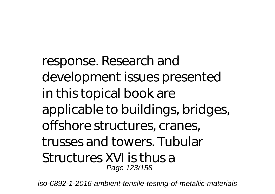response. Research and development issues presented in this topical book are applicable to buildings, bridges, offshore structures, cranes, trusses and towers. Tubular Structures XVI is thus a Page 123/158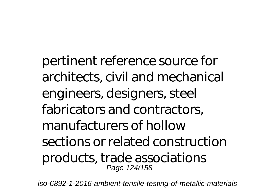pertinent reference source for architects, civil and mechanical engineers, designers, steel fabricators and contractors, manufacturers of hollow sections or related construction products, trade associations Page 124/158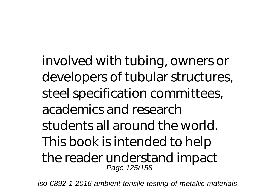involved with tubing, owners or developers of tubular structures, steel specification committees, academics and research students all around the world. This book is intended to help the reader understand impact Page 125/158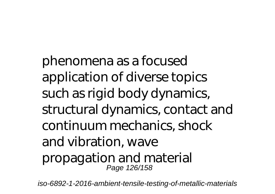phenomena as a focused application of diverse topics such as rigid body dynamics, structural dynamics, contact and continuum mechanics, shock and vibration, wave propagation and material Page 126/158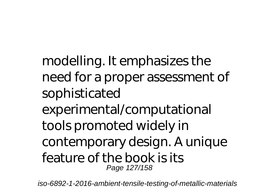modelling. It emphasizes the need for a proper assessment of sophisticated experimental/computational tools promoted widely in contemporary design. A unique feature of the book is its Page 127/158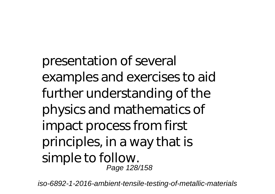presentation of several examples and exercises to aid further understanding of the physics and mathematics of impact process from first principles, in a way that is simple to follow. Page 128/158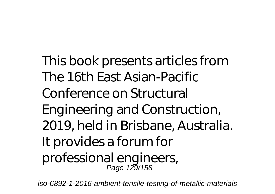This book presents articles from The 16th East Asian-Pacific Conference on Structural Engineering and Construction, 2019, held in Brisbane, Australia. It provides a forum for professional engineers, Page 129/158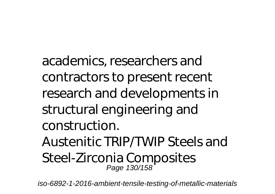academics, researchers and contractors to present recent research and developments in structural engineering and construction. Austenitic TRIP/TWIP Steels and Steel-Zirconia Composites Page 130/158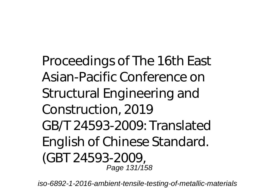Proceedings of The 16th East Asian-Pacific Conference on Structural Engineering and Construction, 2019 GB/T 24593-2009: Translated English of Chinese Standard. (GBT 24593-2009, Page 131/158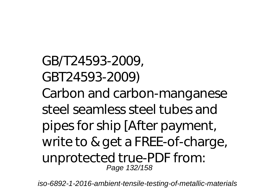GB/T24593-2009, GBT24593-2009) Carbon and carbon-manganese steel seamless steel tubes and pipes for ship [After payment, write to & get a FREE-of-charge, unprotected true-PDF from: Page 132/158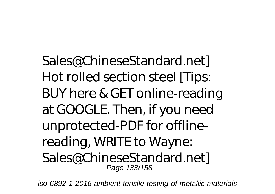Sales@ChineseStandard.net] Hot rolled section steel [Tips: BUY here & GET online-reading at GOOGLE. Then, if you need unprotected-PDF for offlinereading, WRITE to Wayne: Sales@ChineseStandard.net] Page 133/158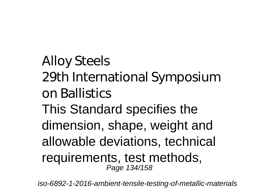Alloy Steels 29th International Symposium on Ballistics This Standard specifies the dimension, shape, weight and allowable deviations, technical requirements, test methods, Page 134/158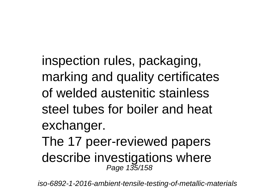inspection rules, packaging, marking and quality certificates of welded austenitic stainless steel tubes for boiler and heat exchanger.

The 17 peer-reviewed papers describe investigations where Page 135/158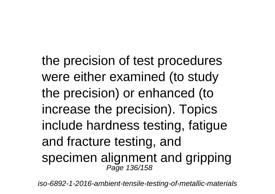the precision of test procedures were either examined (to study the precision) or enhanced (to increase the precision). Topics include hardness testing, fatigue and fracture testing, and specimen alignment and gripping Page 136/158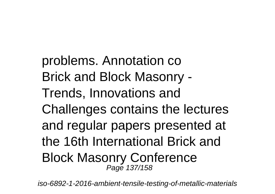problems. Annotation co Brick and Block Masonry - Trends, Innovations and Challenges contains the lectures and regular papers presented at the 16th International Brick and Block Masonry Conference Page 137/158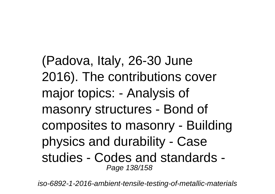(Padova, Italy, 26-30 June 2016). The contributions cover major topics: - Analysis of masonry structures - Bond of composites to masonry - Building physics and durability - Case studies - Codes and standards - Page 138/158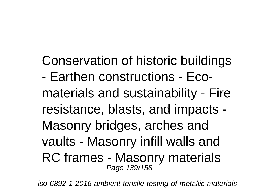Conservation of historic buildings - Earthen constructions - Ecomaterials and sustainability - Fire resistance, blasts, and impacts - Masonry bridges, arches and vaults - Masonry infill walls and RC frames - Masonry materials Page 139/158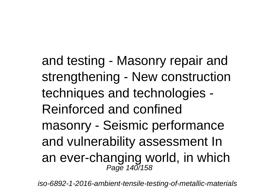and testing - Masonry repair and strengthening - New construction techniques and technologies - Reinforced and confined masonry - Seismic performance and vulnerability assessment In an ever-changing world, in which<br>Page 140/158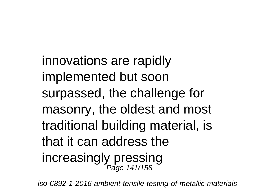innovations are rapidly implemented but soon surpassed, the challenge for masonry, the oldest and most traditional building material, is that it can address the increasingly pressing Page 141/158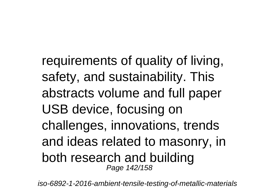requirements of quality of living, safety, and sustainability. This abstracts volume and full paper USB device, focusing on challenges, innovations, trends and ideas related to masonry, in both research and building Page 142/158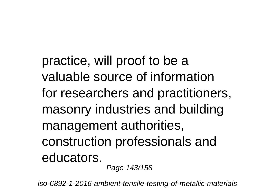practice, will proof to be a valuable source of information for researchers and practitioners, masonry industries and building management authorities, construction professionals and educators.

Page 143/158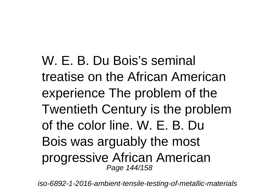W. F. B. Du Bois's seminal treatise on the African American experience The problem of the Twentieth Century is the problem of the color line. W. E. B. Du Bois was arguably the most progressive African American Page 144/158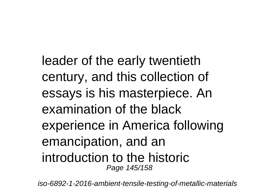leader of the early twentieth century, and this collection of essays is his masterpiece. An examination of the black experience in America following emancipation, and an introduction to the historic Page 145/158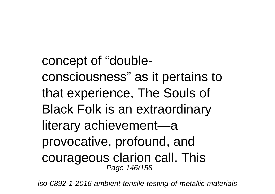concept of "doubleconsciousness" as it pertains to that experience, The Souls of Black Folk is an extraordinary literary achievement—a provocative, profound, and courageous clarion call. This Page 146/158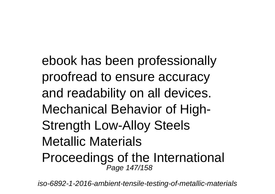ebook has been professionally proofread to ensure accuracy and readability on all devices. Mechanical Behavior of High-Strength Low-Alloy Steels Metallic Materials Proceedings of the International Page 147/158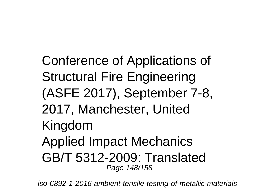Conference of Applications of Structural Fire Engineering (ASFE 2017), September 7-8, 2017, Manchester, United Kingdom Applied Impact Mechanics GB/T 5312-2009: Translated Page 148/158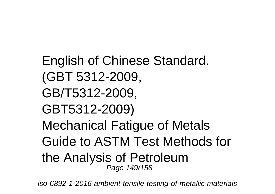English of Chinese Standard. (GBT 5312-2009, GB/T5312-2009, GBT5312-2009) Mechanical Fatigue of Metals Guide to ASTM Test Methods for the Analysis of Petroleum Page 149/158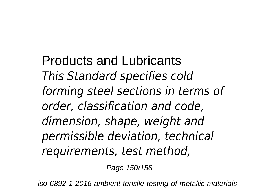Products and Lubricants *This Standard specifies cold forming steel sections in terms of order, classification and code, dimension, shape, weight and permissible deviation, technical requirements, test method,*

Page 150/158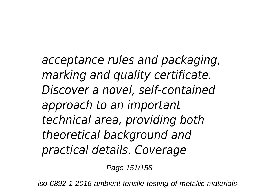*acceptance rules and packaging, marking and quality certificate. Discover a novel, self-contained approach to an important technical area, providing both theoretical background and practical details. Coverage*

Page 151/158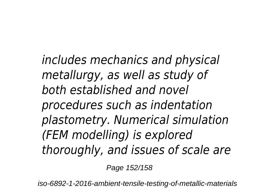*includes mechanics and physical metallurgy, as well as study of both established and novel procedures such as indentation plastometry. Numerical simulation (FEM modelling) is explored thoroughly, and issues of scale are*

Page 152/158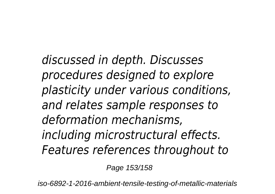*discussed in depth. Discusses procedures designed to explore plasticity under various conditions, and relates sample responses to deformation mechanisms, including microstructural effects. Features references throughout to*

Page 153/158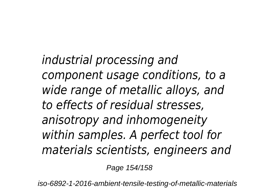*industrial processing and component usage conditions, to a wide range of metallic alloys, and to effects of residual stresses, anisotropy and inhomogeneity within samples. A perfect tool for materials scientists, engineers and*

Page 154/158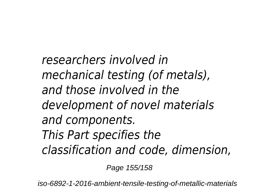*researchers involved in mechanical testing (of metals), and those involved in the development of novel materials and components. This Part specifies the classification and code, dimension,*

Page 155/158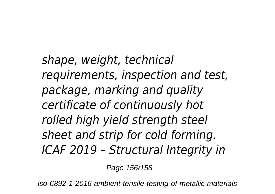*shape, weight, technical requirements, inspection and test, package, marking and quality certificate of continuously hot rolled high yield strength steel sheet and strip for cold forming. ICAF 2019 – Structural Integrity in*

Page 156/158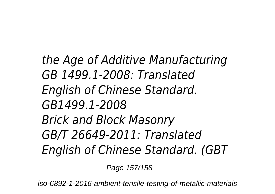*the Age of Additive Manufacturing GB 1499.1-2008: Translated English of Chinese Standard. GB1499.1-2008 Brick and Block Masonry GB/T 26649-2011: Translated English of Chinese Standard. (GBT*

Page 157/158